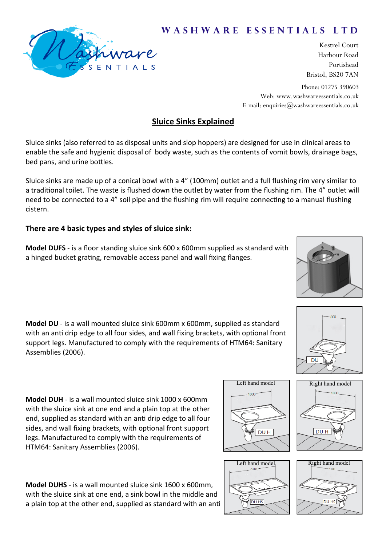# NTIALS

Kestrel Court Harbour Road Portishead Bristol, BS20 7AN

Phone: 01275 390603 Web: www.washwareessentials.co.uk E-mail: enquiries $@$ washwareessentials.co.uk

W A S H W A R E E S S E N T I A L S L T D

# **Sluice Sinks Explained**

Sluice sinks (also referred to as disposal units and slop hoppers) are designed for use in clinical areas to enable the safe and hygienic disposal of body waste, such as the contents of vomit bowls, drainage bags, bed pans, and urine bottles.

Sluice sinks are made up of a conical bowl with a 4" (100mm) outlet and a full flushing rim very similar to a traditional toilet. The waste is flushed down the outlet by water from the flushing rim. The 4" outlet will need to be connected to a 4" soil pipe and the flushing rim will require connecting to a manual flushing cistern.

## **There are 4 basic types and styles of sluice sink:**

**Model DUFS** - is a floor standing sluice sink 600 x 600mm supplied as standard with a hinged bucket grating, removable access panel and wall fixing flanges.

**Model DU** - is a wall mounted sluice sink 600mm x 600mm, supplied as standard with an anti drip edge to all four sides, and wall fixing brackets, with optional front support legs. Manufactured to comply with the requirements of HTM64: Sanitary Assemblies (2006).

**Model DUH** - is a wall mounted sluice sink 1000 x 600mm with the sluice sink at one end and a plain top at the other end, supplied as standard with an anti drip edge to all four sides, and wall fixing brackets, with optional front support legs. Manufactured to comply with the requirements of HTM64: Sanitary Assemblies (2006).













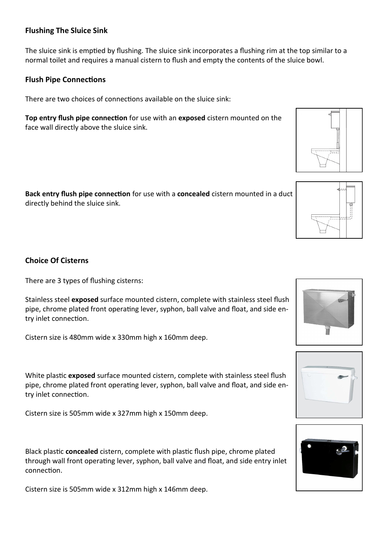### **Flushing The Sluice Sink**

The sluice sink is emptied by flushing. The sluice sink incorporates a flushing rim at the top similar to a normal toilet and requires a manual cistern to flush and empty the contents of the sluice bowl.

### **Flush Pipe Connections**

There are two choices of connections available on the sluice sink:

**Top entry flush pipe connection** for use with an **exposed** cistern mounted on the face wall directly above the sluice sink.

**Back entry flush pipe connection** for use with a **concealed** cistern mounted in a duct directly behind the sluice sink.

### **Choice Of Cisterns**

There are 3 types of flushing cisterns:

Stainless steel **exposed** surface mounted cistern, complete with stainless steel flush pipe, chrome plated front operating lever, syphon, ball valve and float, and side entry inlet connection.

Cistern size is 480mm wide x 330mm high x 160mm deep.

White plastic **exposed** surface mounted cistern, complete with stainless steel flush pipe, chrome plated front operating lever, syphon, ball valve and float, and side entry inlet connection.

Cistern size is 505mm wide x 327mm high x 150mm deep.

Black plastic **concealed** cistern, complete with plastic flush pipe, chrome plated through wall front operating lever, syphon, ball valve and float, and side entry inlet connection.

Cistern size is 505mm wide x 312mm high x 146mm deep.